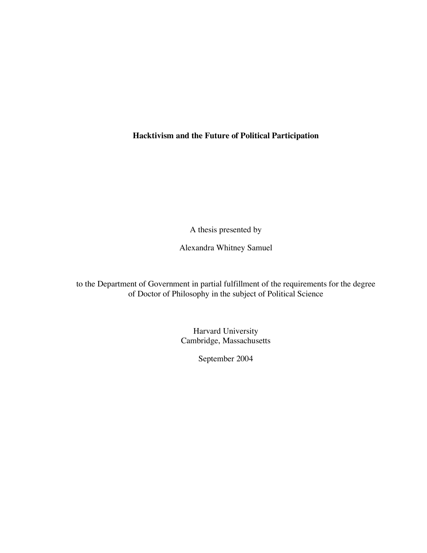**Hacktivism and the Future of Political Participation**

A thesis presented by

Alexandra Whitney Samuel

to the Department of Government in partial fulfillment of the requirements for the degree of Doctor of Philosophy in the subject of Political Science

> Harvard University Cambridge, Massachusetts

> > September 2004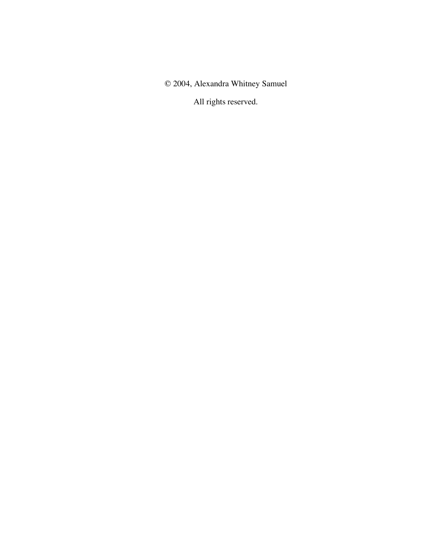© 2004, Alexandra Whitney Samuel

All rights reserved.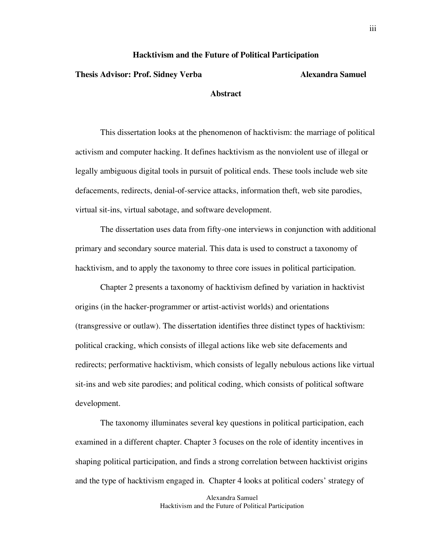#### **Hacktivism and the Future of Political Participation**

#### **Thesis Advisor: Prof. Sidney Verba Alexandra Samuel**

### **Abstract**

This dissertation looks at the phenomenon of hacktivism: the marriage of political activism and computer hacking. It defines hacktivism as the nonviolent use of illegal or legally ambiguous digital tools in pursuit of political ends. These tools include web site defacements, redirects, denial-of-service attacks, information theft, web site parodies, virtual sit-ins, virtual sabotage, and software development.

The dissertation uses data from fifty-one interviews in conjunction with additional primary and secondary source material. This data is used to construct a taxonomy of hacktivism, and to apply the taxonomy to three core issues in political participation.

Chapter 2 presents a taxonomy of hacktivism defined by variation in hacktivist origins (in the hacker-programmer or artist-activist worlds) and orientations (transgressive or outlaw). The dissertation identifies three distinct types of hacktivism: political cracking, which consists of illegal actions like web site defacements and redirects; performative hacktivism, which consists of legally nebulous actions like virtual sit-ins and web site parodies; and political coding, which consists of political software development.

The taxonomy illuminates several key questions in political participation, each examined in a different chapter. Chapter 3 focuses on the role of identity incentives in shaping political participation, and finds a strong correlation between hacktivist origins and the type of hacktivism engaged in. Chapter 4 looks at political coders' strategy of

> Alexandra Samuel Hacktivism and the Future of Political Participation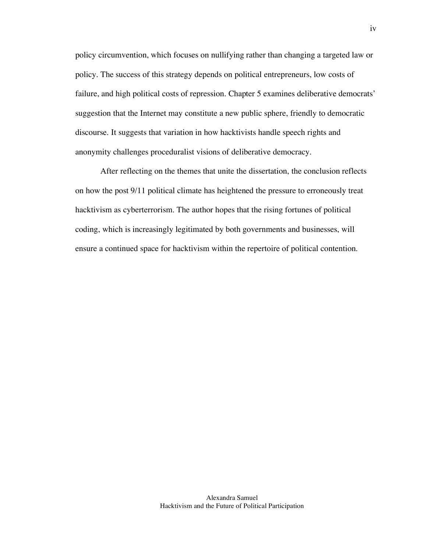policy circumvention, which focuses on nullifying rather than changing a targeted law or policy. The success of this strategy depends on political entrepreneurs, low costs of failure, and high political costs of repression. Chapter 5 examines deliberative democrats' suggestion that the Internet may constitute a new public sphere, friendly to democratic discourse. It suggests that variation in how hacktivists handle speech rights and anonymity challenges proceduralist visions of deliberative democracy.

After reflecting on the themes that unite the dissertation, the conclusion reflects on how the post 9/11 political climate has heightened the pressure to erroneously treat hacktivism as cyberterrorism. The author hopes that the rising fortunes of political coding, which is increasingly legitimated by both governments and businesses, will ensure a continued space for hacktivism within the repertoire of political contention.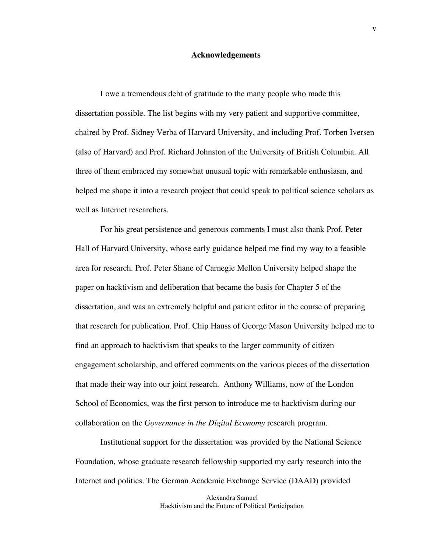#### **Acknowledgements**

I owe a tremendous debt of gratitude to the many people who made this dissertation possible. The list begins with my very patient and supportive committee, chaired by Prof. Sidney Verba of Harvard University, and including Prof. Torben Iversen (also of Harvard) and Prof. Richard Johnston of the University of British Columbia. All three of them embraced my somewhat unusual topic with remarkable enthusiasm, and helped me shape it into a research project that could speak to political science scholars as well as Internet researchers.

For his great persistence and generous comments I must also thank Prof. Peter Hall of Harvard University, whose early guidance helped me find my way to a feasible area for research. Prof. Peter Shane of Carnegie Mellon University helped shape the paper on hacktivism and deliberation that became the basis for Chapter 5 of the dissertation, and was an extremely helpful and patient editor in the course of preparing that research for publication. Prof. Chip Hauss of George Mason University helped me to find an approach to hacktivism that speaks to the larger community of citizen engagement scholarship, and offered comments on the various pieces of the dissertation that made their way into our joint research. Anthony Williams, now of the London School of Economics, was the first person to introduce me to hacktivism during our collaboration on the *Governance in the Digital Economy* research program.

Institutional support for the dissertation was provided by the National Science Foundation, whose graduate research fellowship supported my early research into the Internet and politics. The German Academic Exchange Service (DAAD) provided

> Alexandra Samuel Hacktivism and the Future of Political Participation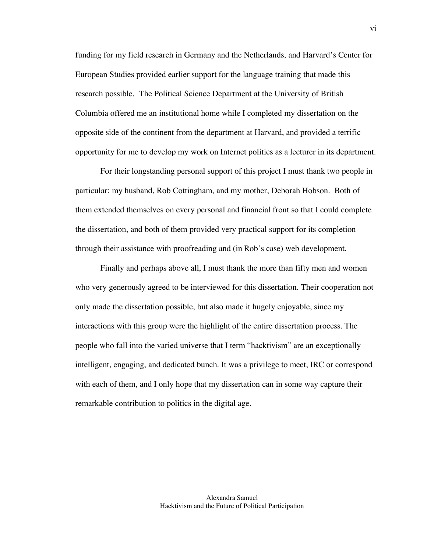funding for my field research in Germany and the Netherlands, and Harvard's Center for European Studies provided earlier support for the language training that made this research possible. The Political Science Department at the University of British Columbia offered me an institutional home while I completed my dissertation on the opposite side of the continent from the department at Harvard, and provided a terrific opportunity for me to develop my work on Internet politics as a lecturer in its department.

For their longstanding personal support of this project I must thank two people in particular: my husband, Rob Cottingham, and my mother, Deborah Hobson. Both of them extended themselves on every personal and financial front so that I could complete the dissertation, and both of them provided very practical support for its completion through their assistance with proofreading and (in Rob's case) web development.

Finally and perhaps above all, I must thank the more than fifty men and women who very generously agreed to be interviewed for this dissertation. Their cooperation not only made the dissertation possible, but also made it hugely enjoyable, since my interactions with this group were the highlight of the entire dissertation process. The people who fall into the varied universe that I term "hacktivism" are an exceptionally intelligent, engaging, and dedicated bunch. It was a privilege to meet, IRC or correspond with each of them, and I only hope that my dissertation can in some way capture their remarkable contribution to politics in the digital age.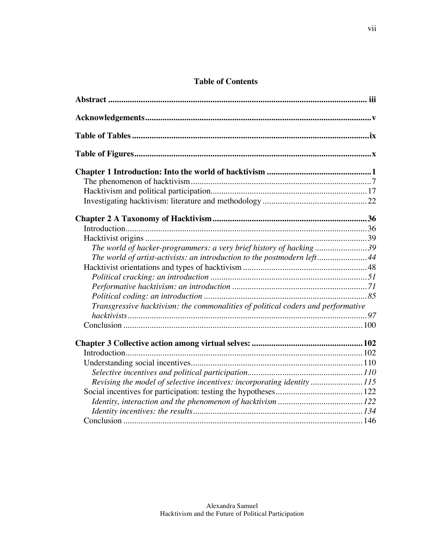## **Table of Contents**

| The world of hacker-programmers: a very brief history of hacking39               |  |
|----------------------------------------------------------------------------------|--|
| The world of artist-activists: an introduction to the postmodern left44          |  |
|                                                                                  |  |
|                                                                                  |  |
|                                                                                  |  |
|                                                                                  |  |
| Transgressive hacktivism: the commonalities of political coders and performative |  |
|                                                                                  |  |
|                                                                                  |  |
|                                                                                  |  |
|                                                                                  |  |
|                                                                                  |  |
|                                                                                  |  |
| Revising the model of selective incentives: incorporating identity115            |  |
|                                                                                  |  |
|                                                                                  |  |
|                                                                                  |  |
|                                                                                  |  |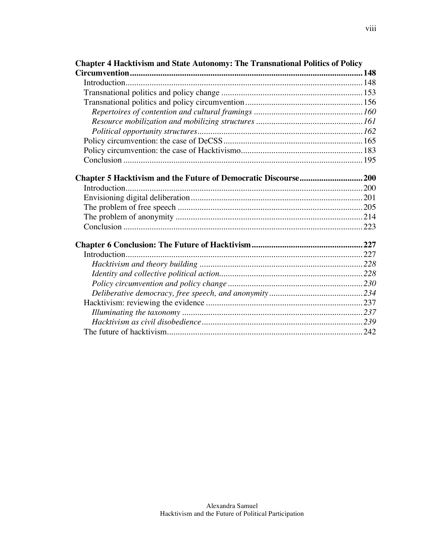| <b>Chapter 4 Hacktivism and State Autonomy: The Transnational Politics of Policy</b> |  |
|--------------------------------------------------------------------------------------|--|
|                                                                                      |  |
|                                                                                      |  |
|                                                                                      |  |
|                                                                                      |  |
|                                                                                      |  |
|                                                                                      |  |
|                                                                                      |  |
|                                                                                      |  |
|                                                                                      |  |
|                                                                                      |  |
|                                                                                      |  |
| Introduction                                                                         |  |
|                                                                                      |  |
|                                                                                      |  |
|                                                                                      |  |
|                                                                                      |  |
|                                                                                      |  |
|                                                                                      |  |
|                                                                                      |  |
|                                                                                      |  |
|                                                                                      |  |
|                                                                                      |  |
|                                                                                      |  |
|                                                                                      |  |
|                                                                                      |  |
|                                                                                      |  |
|                                                                                      |  |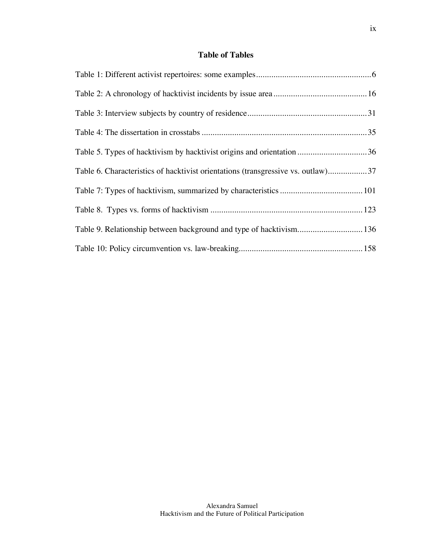## **Table of Tables**

| Table 5. Types of hacktivism by hacktivist origins and orientation 36            |  |
|----------------------------------------------------------------------------------|--|
| Table 6. Characteristics of hacktivist orientations (transgressive vs. outlaw)37 |  |
|                                                                                  |  |
|                                                                                  |  |
| Table 9. Relationship between background and type of hacktivism 136              |  |
|                                                                                  |  |